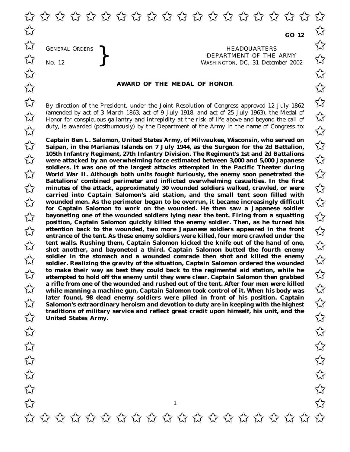GENERAL ORDERS

GENERAL ORDERS **REAL ORDERS** HEADQUARTERS **HEADQUARTERS HEADQUARTERS DEPARTMENT** OF THE **NO.** 12 DEPARTMENT OF THE ARMY No. 12 **Solution SCIEF DEPARTMENT OF THE ARMY**<br>WASHINGTON, DC, 31 December 2002 **SENERAL ORDERS THEADQUARTERS** 

## **AWARD OF THE MEDAL OF HONOR**

By direction of the President, under the Joint Resolution of Congress approved 12 July 1862 (amended by act of 3 March 1863, act of 9 July 1918, and act of 25 July 1963), the Medal of (amended by act of 3 March 1863, act of 9 July 1918, and act of 25 July 1963), the Medal of  $\overline{\mathcal{M}}$ <br>Honor for conspicuous gallantry and intrepidity at the risk of life above and beyond the call of  $\overline{\mathcal{M}}$ duty, is awarded (posthumously) by the Department of the Army in the name of Congress to:<br>  $\overrightarrow{\lambda}$ 

**Captain Ben L. Salomon, United States Army, of Milwaukee, Wisconsin, who served on** Captain Ben L. Salomon, United States Army, of Milwaukee, Wisconsin, who served on <br>
Saipan, in the Marianas Islands on 7 July 1944, as the Surgeon for the 2d Battalion, **105th Infantry Regiment, 27th Infantry Division. The Regiment's 1st and 2d Battalions were attacked by an overwhelming force estimated between 3,000 and 5,000 Japanese soldiers. It was one of the largest attacks attempted in the Pacific Theater during** World War II. Although both units fought furiously, the enemy soon penetrated the<br> **World War II. Although both units fought furiously**, the enemy soon penetrated the **Battalions' combined perimeter and inflicted overwhelming casualties. In the first minutes of the attack, approximately 30 wounded soldiers walked, crawled, or were**<br>
Separated into Cantain Salomon's aid station, and the small tent soon filled with carried into Captain Salomon's aid station, and the small tent soon filled with wounded men. As the perimeter began to be overrun, it became increasingly difficult<br>
for Cantain Salomon to work on the wounded. He then saw a Jananese soldier for Captain Salomon to work on the wounded. He then saw a Japanese soldier **bayoneting one of the wounded soldiers lying near the tent. Firing from a squatting position.** Captain Salomon quickly killed the enemy soldier. Then, as he turned his **position, Captain Salomon quickly killed the enemy soldier. Then, as he turned his** attention back to the wounded, two more Japanese soldiers appeared in the front  $\sqrt{\lambda}$  entrance of the tent. As these enemy soldiers were killed, four more crawled under the **entrance of the tent. As these enemy soldiers were killed, four more crawled under the** tent walls. Rushing them, Captain Salomon kicked the knife out of the hand of one,<br>
Shot another, and bayoneted a third. Captain Salomon butted the fourth enemy shot another, and bayoneted a third. Captain Salomon butted the fourth enemy soldier in the stomach and a wounded comrade then shot and killed the enemy **soldier in the stomach and a wounded comrade then shot and killed the enemy**<br>
→ **Soldier. Realizing the gravity of the situation, Captain Salomon ordered the wounded** to make their way as best they could back to the regimental aid station, while he  $\sim$ **attempted to hold off the enemy until they were clear. Captain Salomon then grabbed a rifle from one of the wounded and rushed out of the tent. After four men were killed a** rifle from one of the wounded and rushed out of the tent. After four men were killed<br>  $\lambda$  while manning a machine gun, Captain Salomon took control of it. When his body was later found, 98 dead enemy soldiers were piled in front of his position. Captain **Salomon's extraordinary heroism and devotion to duty are in keeping with the highest** traditions of military service and reflect great credit upon himself, his unit, and the<br><del> $\overline{\lambda}$ </del> United States Army. **United States Army.**

✩ ✩ ✩ ✩ ✩ ✩ ✩ ✩ ✩ ✩ ✩ ✩ ✩ ✩ ✩ ✩ ✩ ✩ ✩ ✩